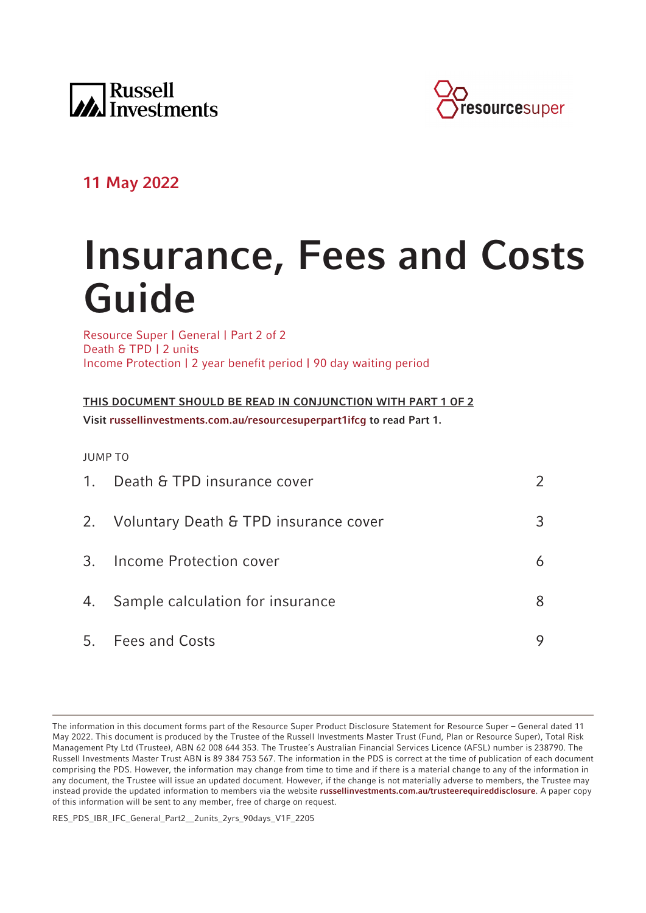



# **11 May 2022**

# **Insurance, Fees and Costs Guide**

Resource Super | General | Part 2 of 2 Death & TPD | 2 units Income Protection | 2 year benefit period | 90 day waiting period

**THIS DOCUMENT SHOULD BE READ IN CONJUNCTION WITH PART 1 OF 2 Visit [russellinvestments.com.au/resourcesuperpart1ifcg](https://russellinvestments.com.au/resourcesuperpart1ifcg) to read Part 1.**

JUMP TO

|    | 1. Death & TPD insurance cover           | $\mathcal{P}$ |
|----|------------------------------------------|---------------|
|    | 2. Voluntary Death & TPD insurance cover | 3             |
|    | 3. Income Protection cover               | 6             |
| 4. | Sample calculation for insurance         | 8             |
|    | 5. Fees and Costs                        |               |

RES\_PDS\_IBR\_IFC\_General\_Part2\_\_2units\_2yrs\_90days\_V1F\_2205

The information in this document forms part of the Resource Super Product Disclosure Statement for Resource Super – General dated 11 May 2022. This document is produced by the Trustee of the Russell Investments Master Trust (Fund, Plan or Resource Super), Total Risk Management Pty Ltd (Trustee), ABN 62 008 644 353. The Trustee's Australian Financial Services Licence (AFSL) number is 238790. The Russell Investments Master Trust ABN is 89 384 753 567. The information in the PDS is correct at the time of publication of each document comprising the PDS. However, the information may change from time to time and if there is a material change to any of the information in any document, the Trustee will issue an updated document. However, if the change is not materially adverse to members, the Trustee may instead provide the updated information to members via the website **[russellinvestments.com.au/trusteerequireddisclosure](https://russellinvestments.com.au/trusteerequireddisclosure)**. A paper copy of this information will be sent to any member, free of charge on request.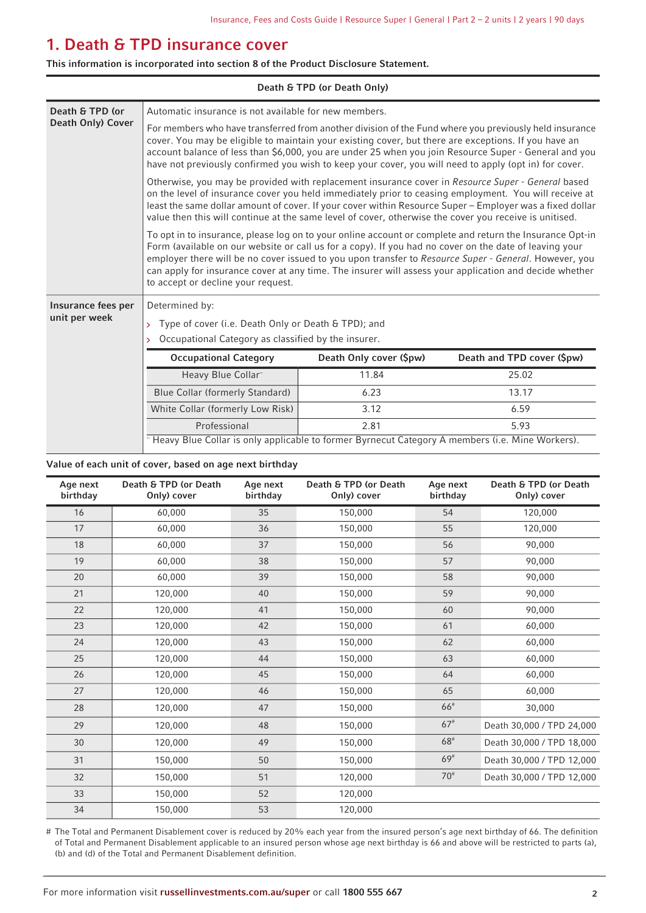# <span id="page-1-0"></span>**1. Death & TPD insurance cover**

**This information is incorporated into section 8 of the Product Disclosure Statement.**

| Death & TPD (or Death Only) |                                                                                                                                                                                                                                                                                                                                                                                                                                                                             |                         |                            |  |  |  |
|-----------------------------|-----------------------------------------------------------------------------------------------------------------------------------------------------------------------------------------------------------------------------------------------------------------------------------------------------------------------------------------------------------------------------------------------------------------------------------------------------------------------------|-------------------------|----------------------------|--|--|--|
| Death & TPD (or             | Automatic insurance is not available for new members.                                                                                                                                                                                                                                                                                                                                                                                                                       |                         |                            |  |  |  |
| Death Only) Cover           | For members who have transferred from another division of the Fund where you previously held insurance<br>cover. You may be eligible to maintain your existing cover, but there are exceptions. If you have an<br>account balance of less than \$6,000, you are under 25 when you join Resource Super - General and you<br>have not previously confirmed you wish to keep your cover, you will need to apply (opt in) for cover.                                            |                         |                            |  |  |  |
|                             | Otherwise, you may be provided with replacement insurance cover in Resource Super - General based<br>on the level of insurance cover you held immediately prior to ceasing employment. You will receive at<br>least the same dollar amount of cover. If your cover within Resource Super - Employer was a fixed dollar<br>value then this will continue at the same level of cover, otherwise the cover you receive is unitised.                                            |                         |                            |  |  |  |
|                             | To opt in to insurance, please log on to your online account or complete and return the Insurance Opt-in<br>Form (available on our website or call us for a copy). If you had no cover on the date of leaving your<br>employer there will be no cover issued to you upon transfer to Resource Super - General. However, you<br>can apply for insurance cover at any time. The insurer will assess your application and decide whether<br>to accept or decline your request. |                         |                            |  |  |  |
| Insurance fees per          | Determined by:                                                                                                                                                                                                                                                                                                                                                                                                                                                              |                         |                            |  |  |  |
| unit per week               | Type of cover (i.e. Death Only or Death & TPD); and<br>$\mathbf{y}$                                                                                                                                                                                                                                                                                                                                                                                                         |                         |                            |  |  |  |
|                             | Occupational Category as classified by the insurer.<br>У                                                                                                                                                                                                                                                                                                                                                                                                                    |                         |                            |  |  |  |
|                             | <b>Occupational Category</b>                                                                                                                                                                                                                                                                                                                                                                                                                                                | Death Only cover (\$pw) | Death and TPD cover (\$pw) |  |  |  |
|                             | Heavy Blue Collar~                                                                                                                                                                                                                                                                                                                                                                                                                                                          | 11.84                   | 25.02                      |  |  |  |
|                             | Blue Collar (formerly Standard)                                                                                                                                                                                                                                                                                                                                                                                                                                             | 6.23                    | 13.17                      |  |  |  |
|                             | White Collar (formerly Low Risk)                                                                                                                                                                                                                                                                                                                                                                                                                                            | 3.12                    | 6.59                       |  |  |  |
|                             | Professional                                                                                                                                                                                                                                                                                                                                                                                                                                                                | 2.81                    | 5.93                       |  |  |  |
|                             | - Heavy Blue Collar is only applicable to former Byrnecut Category A members (i.e. Mine Workers).                                                                                                                                                                                                                                                                                                                                                                           |                         |                            |  |  |  |

### **Value of each unit of cover, based on age next birthday**

| Age next<br>birthday | Death & TPD (or Death<br>Only) cover | Age next<br>birthday | Death & TPD (or Death<br>Only) cover | Age next<br>birthday  | Death & TPD (or Death<br>Only) cover |
|----------------------|--------------------------------------|----------------------|--------------------------------------|-----------------------|--------------------------------------|
| 16                   | 60,000                               | 35                   | 150,000                              | 54                    | 120,000                              |
| 17                   | 60,000                               | 36                   | 150,000                              | 55                    | 120,000                              |
| 18                   | 60,000                               | 37                   | 150,000                              | 56                    | 90,000                               |
| 19                   | 60,000                               | 38                   | 150,000                              | 57                    | 90,000                               |
| 20                   | 60,000                               | 39                   | 150,000                              | 58                    | 90,000                               |
| 21                   | 120,000                              | 40                   | 150,000                              | 59                    | 90,000                               |
| 22                   | 120,000                              | 41                   | 150,000                              | 60                    | 90,000                               |
| 23                   | 120,000                              | 42                   | 150,000                              | 61                    | 60,000                               |
| 24                   | 120,000                              | 43                   | 150,000                              | 62                    | 60,000                               |
| 25                   | 120,000                              | 44                   | 150,000                              | 63                    | 60,000                               |
| 26                   | 120,000                              | 45                   | 150,000                              | 64                    | 60,000                               |
| 27                   | 120,000                              | 46                   | 150,000                              | 65                    | 60,000                               |
| 28                   | 120,000                              | 47                   | 150,000                              | 66#                   | 30,000                               |
| 29                   | 120,000                              | 48                   | 150,000                              | $67$ <sup>#</sup>     | Death 30,000 / TPD 24,000            |
| 30                   | 120,000                              | 49                   | 150,000                              | $68^{\rm \textit{#}}$ | Death 30,000 / TPD 18,000            |
| 31                   | 150,000                              | 50                   | 150,000                              | $69^{\rm #}$          | Death 30,000 / TPD 12,000            |
| 32                   | 150,000                              | 51                   | 120,000                              | 70 <sup>#</sup>       | Death 30,000 / TPD 12,000            |
| 33                   | 150,000                              | 52                   | 120,000                              |                       |                                      |
| 34                   | 150,000                              | 53                   | 120,000                              |                       |                                      |

# The Total and Permanent Disablement cover is reduced by 20% each year from the insured person's age next birthday of 66. The definition of Total and Permanent Disablement applicable to an insured person whose age next birthday is 66 and above will be restricted to parts (a), (b) and (d) of the Total and Permanent Disablement definition.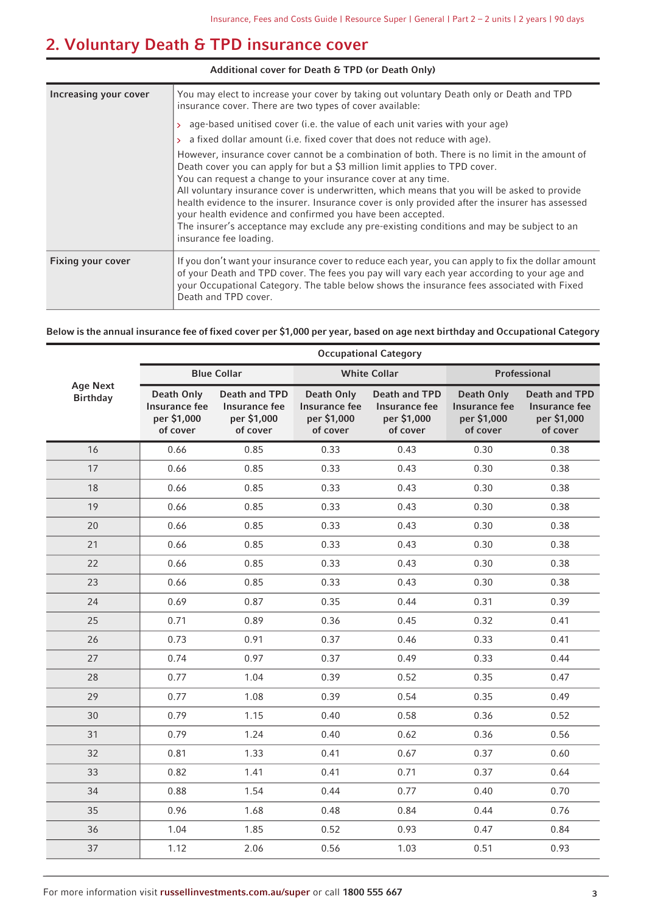# <span id="page-2-0"></span>**2. Voluntary Death & TPD insurance cover**

| Additional cover for Death & TPD (or Death Only) |                                                                                                                                                                                                                                                                                                                                                                                                                                                                                                                                                                                                                                                                                         |  |  |  |  |
|--------------------------------------------------|-----------------------------------------------------------------------------------------------------------------------------------------------------------------------------------------------------------------------------------------------------------------------------------------------------------------------------------------------------------------------------------------------------------------------------------------------------------------------------------------------------------------------------------------------------------------------------------------------------------------------------------------------------------------------------------------|--|--|--|--|
| Increasing your cover                            | You may elect to increase your cover by taking out voluntary Death only or Death and TPD<br>insurance cover. There are two types of cover available:                                                                                                                                                                                                                                                                                                                                                                                                                                                                                                                                    |  |  |  |  |
|                                                  | > age-based unitised cover (i.e. the value of each unit varies with your age)<br>$\rightarrow$ a fixed dollar amount (i.e. fixed cover that does not reduce with age).<br>However, insurance cover cannot be a combination of both. There is no limit in the amount of<br>Death cover you can apply for but a \$3 million limit applies to TPD cover.<br>You can request a change to your insurance cover at any time.<br>All voluntary insurance cover is underwritten, which means that you will be asked to provide<br>health evidence to the insurer. Insurance cover is only provided after the insurer has assessed<br>your health evidence and confirmed you have been accepted. |  |  |  |  |
|                                                  | The insurer's acceptance may exclude any pre-existing conditions and may be subject to an<br>insurance fee loading.                                                                                                                                                                                                                                                                                                                                                                                                                                                                                                                                                                     |  |  |  |  |
| <b>Fixing your cover</b>                         | If you don't want your insurance cover to reduce each year, you can apply to fix the dollar amount<br>of your Death and TPD cover. The fees you pay will vary each year according to your age and<br>your Occupational Category. The table below shows the insurance fees associated with Fixed<br>Death and TPD cover.                                                                                                                                                                                                                                                                                                                                                                 |  |  |  |  |

### **Below is the annual insurance fee of fixed cover per \$1,000 per year, based on age next birthday and Occupational Category**

|                                    | <b>Occupational Category</b>                           |                                                                  |                                                               |                                                                  |                                                               |                                                                         |  |  |
|------------------------------------|--------------------------------------------------------|------------------------------------------------------------------|---------------------------------------------------------------|------------------------------------------------------------------|---------------------------------------------------------------|-------------------------------------------------------------------------|--|--|
|                                    |                                                        | <b>Blue Collar</b>                                               |                                                               | <b>White Collar</b>                                              |                                                               | Professional                                                            |  |  |
| <b>Age Next</b><br><b>Birthday</b> | Death Only<br>Insurance fee<br>per \$1,000<br>of cover | <b>Death and TPD</b><br>Insurance fee<br>per \$1,000<br>of cover | <b>Death Only</b><br>Insurance fee<br>per \$1,000<br>of cover | <b>Death and TPD</b><br>Insurance fee<br>per \$1,000<br>of cover | <b>Death Only</b><br>Insurance fee<br>per \$1,000<br>of cover | <b>Death and TPD</b><br><b>Insurance fee</b><br>per \$1,000<br>of cover |  |  |
| 16                                 | 0.66                                                   | 0.85                                                             | 0.33                                                          | 0.43                                                             | 0.30                                                          | 0.38                                                                    |  |  |
| 17                                 | 0.66                                                   | 0.85                                                             | 0.33                                                          | 0.43                                                             | 0.30                                                          | 0.38                                                                    |  |  |
| 18                                 | 0.66                                                   | 0.85                                                             | 0.33                                                          | 0.43                                                             | 0.30                                                          | 0.38                                                                    |  |  |
| 19                                 | 0.66                                                   | 0.85                                                             | 0.33                                                          | 0.43                                                             | 0.30                                                          | 0.38                                                                    |  |  |
| 20                                 | 0.66                                                   | 0.85                                                             | 0.33                                                          | 0.43                                                             | 0.30                                                          | 0.38                                                                    |  |  |
| 21                                 | 0.66                                                   | 0.85                                                             | 0.33                                                          | 0.43                                                             | 0.30                                                          | 0.38                                                                    |  |  |
| 22                                 | 0.66                                                   | 0.85                                                             | 0.33                                                          | 0.43                                                             | 0.30                                                          | 0.38                                                                    |  |  |
| 23                                 | 0.66                                                   | 0.85                                                             | 0.33                                                          | 0.43                                                             | 0.30                                                          | 0.38                                                                    |  |  |
| 24                                 | 0.69                                                   | 0.87                                                             | 0.35                                                          | 0.44                                                             | 0.31                                                          | 0.39                                                                    |  |  |
| 25                                 | 0.71                                                   | 0.89                                                             | 0.36                                                          | 0.45                                                             | 0.32                                                          | 0.41                                                                    |  |  |
| 26                                 | 0.73                                                   | 0.91                                                             | 0.37                                                          | 0.46                                                             | 0.33                                                          | 0.41                                                                    |  |  |
| 27                                 | 0.74                                                   | 0.97                                                             | 0.37                                                          | 0.49                                                             | 0.33                                                          | 0.44                                                                    |  |  |
| 28                                 | 0.77                                                   | 1.04                                                             | 0.39                                                          | 0.52                                                             | 0.35                                                          | 0.47                                                                    |  |  |
| 29                                 | 0.77                                                   | 1.08                                                             | 0.39                                                          | 0.54                                                             | 0.35                                                          | 0.49                                                                    |  |  |
| 30                                 | 0.79                                                   | 1.15                                                             | 0.40                                                          | 0.58                                                             | 0.36                                                          | 0.52                                                                    |  |  |
| 31                                 | 0.79                                                   | 1.24                                                             | 0.40                                                          | 0.62                                                             | 0.36                                                          | 0.56                                                                    |  |  |
| 32                                 | 0.81                                                   | 1.33                                                             | 0.41                                                          | 0.67                                                             | 0.37                                                          | 0.60                                                                    |  |  |
| 33                                 | 0.82                                                   | 1.41                                                             | 0.41                                                          | 0.71                                                             | 0.37                                                          | 0.64                                                                    |  |  |
| 34                                 | 0.88                                                   | 1.54                                                             | 0.44                                                          | 0.77                                                             | 0.40                                                          | 0.70                                                                    |  |  |
| 35                                 | 0.96                                                   | 1.68                                                             | 0.48                                                          | 0.84                                                             | 0.44                                                          | 0.76                                                                    |  |  |
| 36                                 | 1.04                                                   | 1.85                                                             | 0.52                                                          | 0.93                                                             | 0.47                                                          | 0.84                                                                    |  |  |
| 37                                 | 1.12                                                   | 2.06                                                             | 0.56                                                          | 1.03                                                             | 0.51                                                          | 0.93                                                                    |  |  |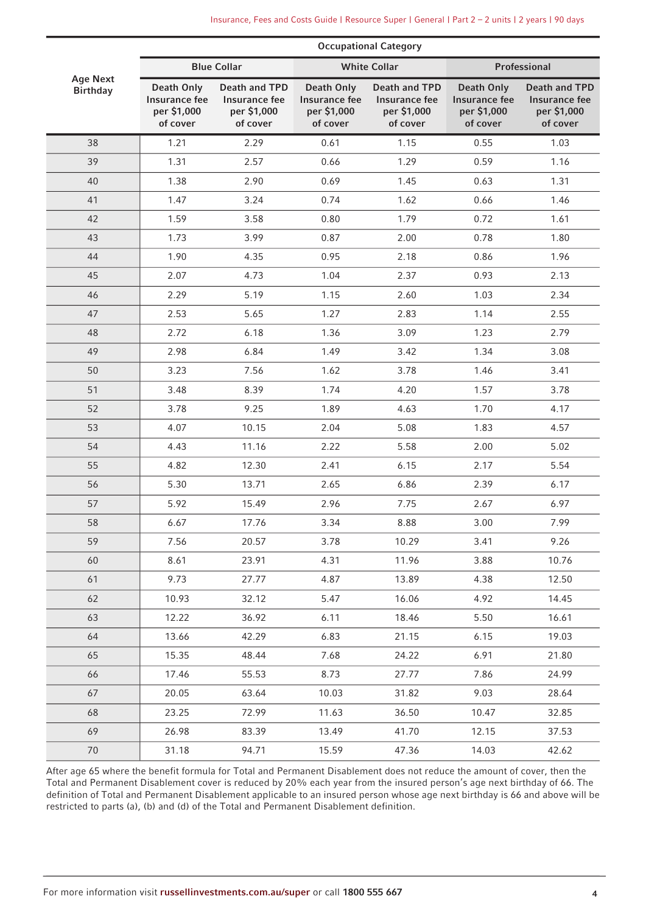|                                    |                                                        | <b>Occupational Category</b>                              |                                                               |                                                           |                                                        |                                                           |  |  |  |
|------------------------------------|--------------------------------------------------------|-----------------------------------------------------------|---------------------------------------------------------------|-----------------------------------------------------------|--------------------------------------------------------|-----------------------------------------------------------|--|--|--|
|                                    |                                                        | <b>Blue Collar</b>                                        |                                                               | <b>White Collar</b>                                       |                                                        | Professional                                              |  |  |  |
| <b>Age Next</b><br><b>Birthday</b> | Death Only<br>Insurance fee<br>per \$1,000<br>of cover | Death and TPD<br>Insurance fee<br>per \$1,000<br>of cover | <b>Death Only</b><br>Insurance fee<br>per \$1,000<br>of cover | Death and TPD<br>Insurance fee<br>per \$1,000<br>of cover | Death Only<br>Insurance fee<br>per \$1,000<br>of cover | Death and TPD<br>Insurance fee<br>per \$1,000<br>of cover |  |  |  |
| 38                                 | 1.21                                                   | 2.29                                                      | 0.61                                                          | 1.15                                                      | 0.55                                                   | 1.03                                                      |  |  |  |
| 39                                 | 1.31                                                   | 2.57                                                      | 0.66                                                          | 1.29                                                      | 0.59                                                   | 1.16                                                      |  |  |  |
| 40                                 | 1.38                                                   | 2.90                                                      | 0.69                                                          | 1.45                                                      | 0.63                                                   | 1.31                                                      |  |  |  |
| 41                                 | 1.47                                                   | 3.24                                                      | 0.74                                                          | 1.62                                                      | 0.66                                                   | 1.46                                                      |  |  |  |
| 42                                 | 1.59                                                   | 3.58                                                      | 0.80                                                          | 1.79                                                      | 0.72                                                   | 1.61                                                      |  |  |  |
| 43                                 | 1.73                                                   | 3.99                                                      | 0.87                                                          | 2.00                                                      | 0.78                                                   | 1.80                                                      |  |  |  |
| 44                                 | 1.90                                                   | 4.35                                                      | 0.95                                                          | 2.18                                                      | 0.86                                                   | 1.96                                                      |  |  |  |
| 45                                 | 2.07                                                   | 4.73                                                      | 1.04                                                          | 2.37                                                      | 0.93                                                   | 2.13                                                      |  |  |  |
| 46                                 | 2.29                                                   | 5.19                                                      | 1.15                                                          | 2.60                                                      | 1.03                                                   | 2.34                                                      |  |  |  |
| 47                                 | 2.53                                                   | 5.65                                                      | 1.27                                                          | 2.83                                                      | 1.14                                                   | 2.55                                                      |  |  |  |
| 48                                 | 2.72                                                   | 6.18                                                      | 1.36                                                          | 3.09                                                      | 1.23                                                   | 2.79                                                      |  |  |  |
| 49                                 | 2.98                                                   | 6.84                                                      | 1.49                                                          | 3.42                                                      | 1.34                                                   | 3.08                                                      |  |  |  |
| 50                                 | 3.23                                                   | 7.56                                                      | 1.62                                                          | 3.78                                                      | 1.46                                                   | 3.41                                                      |  |  |  |
| 51                                 | 3.48                                                   | 8.39                                                      | 1.74                                                          | 4.20                                                      | 1.57                                                   | 3.78                                                      |  |  |  |
| 52                                 | 3.78                                                   | 9.25                                                      | 1.89                                                          | 4.63                                                      | 1.70                                                   | 4.17                                                      |  |  |  |
| 53                                 | 4.07                                                   | 10.15                                                     | 2.04                                                          | 5.08                                                      | 1.83                                                   | 4.57                                                      |  |  |  |
| 54                                 | 4.43                                                   | 11.16                                                     | 2.22                                                          | 5.58                                                      | 2.00                                                   | 5.02                                                      |  |  |  |
| 55                                 | 4.82                                                   | 12.30                                                     | 2.41                                                          | 6.15                                                      | 2.17                                                   | 5.54                                                      |  |  |  |
| 56                                 | 5.30                                                   | 13.71                                                     | 2.65                                                          | 6.86                                                      | 2.39                                                   | 6.17                                                      |  |  |  |
| 57                                 | 5.92                                                   | 15.49                                                     | 2.96                                                          | 7.75                                                      | 2.67                                                   | 6.97                                                      |  |  |  |
| 58                                 | 6.67                                                   | 17.76                                                     | 3.34                                                          | 8.88                                                      | 3.00                                                   | 7.99                                                      |  |  |  |
| 59                                 | 7.56                                                   | 20.57                                                     | 3.78                                                          | 10.29                                                     | 3.41                                                   | 9.26                                                      |  |  |  |
| 60                                 | 8.61                                                   | 23.91                                                     | 4.31                                                          | 11.96                                                     | 3.88                                                   | 10.76                                                     |  |  |  |
| 61                                 | 9.73                                                   | 27.77                                                     | 4.87                                                          | 13.89                                                     | 4.38                                                   | 12.50                                                     |  |  |  |
| 62                                 | 10.93                                                  | 32.12                                                     | 5.47                                                          | 16.06                                                     | 4.92                                                   | 14.45                                                     |  |  |  |
| 63                                 | 12.22                                                  | 36.92                                                     | 6.11                                                          | 18.46                                                     | 5.50                                                   | 16.61                                                     |  |  |  |
| 64                                 | 13.66                                                  | 42.29                                                     | 6.83                                                          | 21.15                                                     | 6.15                                                   | 19.03                                                     |  |  |  |
| 65                                 | 15.35                                                  | 48.44                                                     | 7.68                                                          | 24.22                                                     | 6.91                                                   | 21.80                                                     |  |  |  |
| 66                                 | 17.46                                                  | 55.53                                                     | 8.73                                                          | 27.77                                                     | 7.86                                                   | 24.99                                                     |  |  |  |
| 67                                 | 20.05                                                  | 63.64                                                     | 10.03                                                         | 31.82                                                     | 9.03                                                   | 28.64                                                     |  |  |  |
| 68                                 | 23.25                                                  | 72.99                                                     | 11.63                                                         | 36.50                                                     | 10.47                                                  | 32.85                                                     |  |  |  |
| 69                                 | 26.98                                                  | 83.39                                                     | 13.49                                                         | 41.70                                                     | 12.15                                                  | 37.53                                                     |  |  |  |
| $70\,$                             | 31.18                                                  | 94.71                                                     | 15.59                                                         | 47.36                                                     | 14.03                                                  | 42.62                                                     |  |  |  |

After age 65 where the benefit formula for Total and Permanent Disablement does not reduce the amount of cover, then the Total and Permanent Disablement cover is reduced by 20% each year from the insured person's age next birthday of 66. The definition of Total and Permanent Disablement applicable to an insured person whose age next birthday is 66 and above will be restricted to parts (a), (b) and (d) of the Total and Permanent Disablement definition.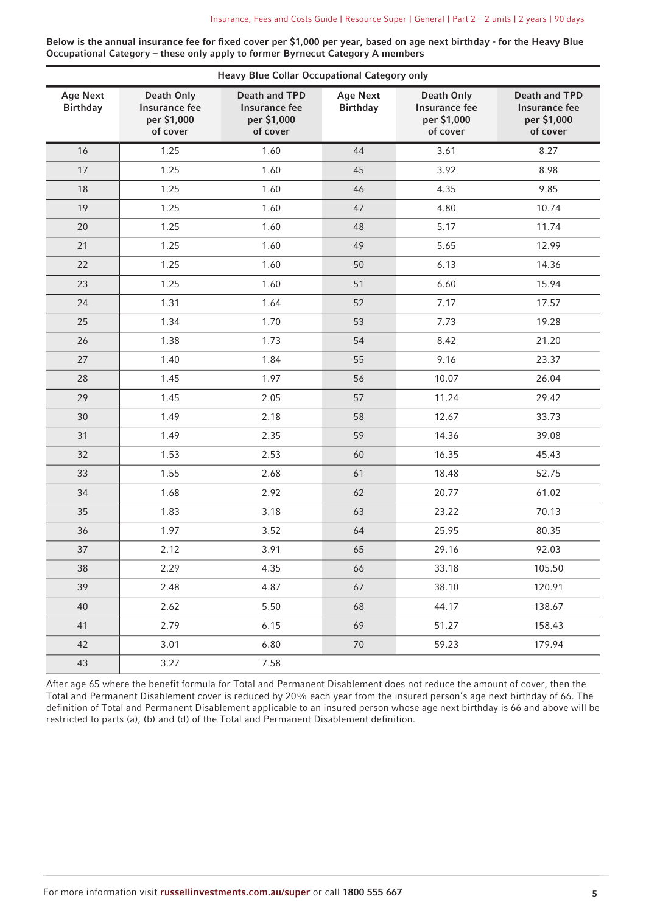**Below is the annual insurance fee for fixed cover per \$1,000 per year, based on age next birthday - for the Heavy Blue Occupational Category – these only apply to former Byrnecut Category A members**

| <b>Age Next</b> | <b>Death Only</b>                        | <b>Death and TPD</b>                     | <b>Age Next</b> | <b>Death Only</b>                        | <b>Death and TPD</b>                     |
|-----------------|------------------------------------------|------------------------------------------|-----------------|------------------------------------------|------------------------------------------|
| <b>Birthday</b> | Insurance fee<br>per \$1,000<br>of cover | Insurance fee<br>per \$1,000<br>of cover | <b>Birthday</b> | Insurance fee<br>per \$1,000<br>of cover | Insurance fee<br>per \$1,000<br>of cover |
| 16              | 1.25                                     | 1.60                                     | 44              | 3.61                                     | 8.27                                     |
| 17              | 1.25                                     | 1.60                                     | 45              | 3.92                                     | 8.98                                     |
| 18              | 1.25                                     | 1.60                                     | 46              | 4.35                                     | 9.85                                     |
| 19              | 1.25                                     | 1.60                                     | 47              | 4.80                                     | 10.74                                    |
| 20              | 1.25                                     | 1.60                                     | 48              | 5.17                                     | 11.74                                    |
| 21              | 1.25                                     | 1.60                                     | 49              | 5.65                                     | 12.99                                    |
| 22              | 1.25                                     | 1.60                                     | 50              | 6.13                                     | 14.36                                    |
| 23              | 1.25                                     | 1.60                                     | 51              | 6.60                                     | 15.94                                    |
| 24              | 1.31                                     | 1.64                                     | 52              | 7.17                                     | 17.57                                    |
| 25              | 1.34                                     | 1.70                                     | 53              | 7.73                                     | 19.28                                    |
| 26              | 1.38                                     | 1.73                                     | 54              | 8.42                                     | 21.20                                    |
| 27              | 1.40                                     | 1.84                                     | 55              | 9.16                                     | 23.37                                    |
| 28              | 1.45                                     | 1.97                                     | 56              | 10.07                                    | 26.04                                    |
| 29              | 1.45                                     | 2.05                                     | 57              | 11.24                                    | 29.42                                    |
| 30              | 1.49                                     | 2.18                                     | 58              | 12.67                                    | 33.73                                    |
| 31              | 1.49                                     | 2.35                                     | 59              | 14.36                                    | 39.08                                    |
| 32              | 1.53                                     | 2.53                                     | 60              | 16.35                                    | 45.43                                    |
| 33              | 1.55                                     | 2.68                                     | 61              | 18.48                                    | 52.75                                    |
| 34              | 1.68                                     | 2.92                                     | 62              | 20.77                                    | 61.02                                    |
| 35              | 1.83                                     | 3.18                                     | 63              | 23.22                                    | 70.13                                    |
| 36              | 1.97                                     | 3.52                                     | 64              | 25.95                                    | 80.35                                    |
| 37              | 2.12                                     | 3.91                                     | 65              | 29.16                                    | 92.03                                    |
| 38              | 2.29                                     | 4.35                                     | 66              | 33.18                                    | 105.50                                   |
| 39              | 2.48                                     | 4.87                                     | 67              | 38.10                                    | 120.91                                   |
| 40              | 2.62                                     | 5.50                                     | 68              | 44.17                                    | 138.67                                   |
| 41              | 2.79                                     | 6.15                                     | 69              | 51.27                                    | 158.43                                   |
| 42              | 3.01                                     | 6.80                                     | $70\,$          | 59.23                                    | 179.94                                   |
| 43              | 3.27                                     | 7.58                                     |                 |                                          |                                          |

After age 65 where the benefit formula for Total and Permanent Disablement does not reduce the amount of cover, then the Total and Permanent Disablement cover is reduced by 20% each year from the insured person's age next birthday of 66. The definition of Total and Permanent Disablement applicable to an insured person whose age next birthday is 66 and above will be restricted to parts (a), (b) and (d) of the Total and Permanent Disablement definition.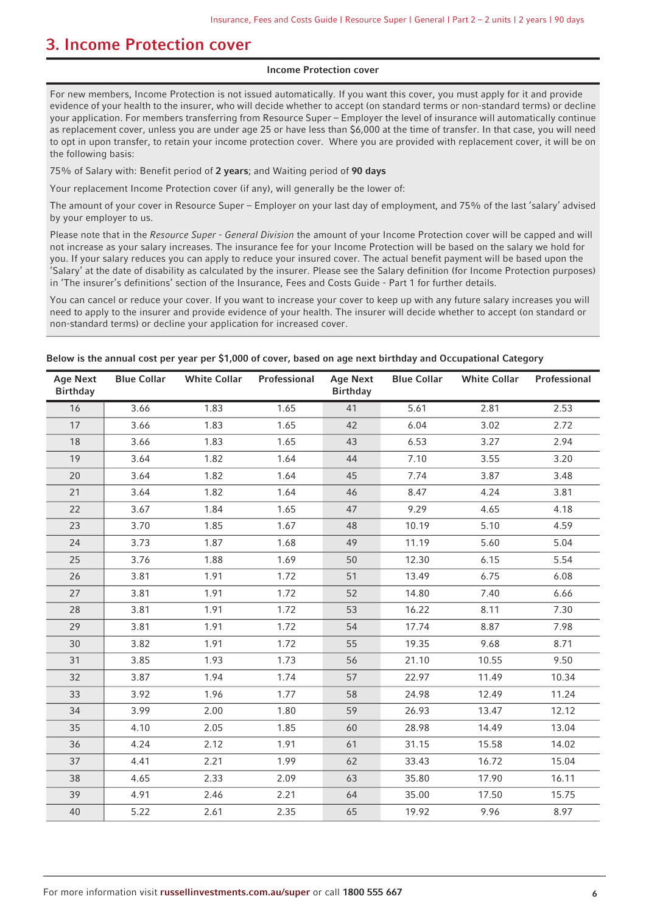### <span id="page-5-0"></span>**3. Income Protection cover**

#### **Income Protection cover**

For new members, Income Protection is not issued automatically. If you want this cover, you must apply for it and provide evidence of your health to the insurer, who will decide whether to accept (on standard terms or non-standard terms) or decline your application. For members transferring from Resource Super – Employer the level of insurance will automatically continue as replacement cover, unless you are under age 25 or have less than \$6,000 at the time of transfer. In that case, you will need to opt in upon transfer, to retain your income protection cover. Where you are provided with replacement cover, it will be on the following basis:

75% of Salary with: Benefit period of **2 years**; and Waiting period of **90 days**

Your replacement Income Protection cover (if any), will generally be the lower of:

The amount of your cover in Resource Super – Employer on your last day of employment, and 75% of the last 'salary' advised by your employer to us.

Please note that in the Resource Super - General Division the amount of your Income Protection cover will be capped and will not increase as your salary increases. The insurance fee for your Income Protection will be based on the salary we hold for you. If your salary reduces you can apply to reduce your insured cover. The actual benefit payment will be based upon the 'Salary' at the date of disability as calculated by the insurer. Please see the Salary definition (for Income Protection purposes) in 'The insurer's definitions' section of the Insurance, Fees and Costs Guide - Part 1 for further details.

You can cancel or reduce your cover. If you want to increase your cover to keep up with any future salary increases you will need to apply to the insurer and provide evidence of your health. The insurer will decide whether to accept (on standard or non-standard terms) or decline your application for increased cover.

|  | Below is the annual cost per year per \$1,000 of cover, based on age next birthday and Occupational Category |  |
|--|--------------------------------------------------------------------------------------------------------------|--|
|  |                                                                                                              |  |

| <b>Age Next</b><br><b>Birthday</b> | <b>Blue Collar</b> | <b>White Collar</b> | Professional | <b>Age Next</b><br><b>Birthday</b> | <b>Blue Collar</b> | <b>White Collar</b> | Professional |
|------------------------------------|--------------------|---------------------|--------------|------------------------------------|--------------------|---------------------|--------------|
| 16                                 | 3.66               | 1.83                | 1.65         | 41                                 | 5.61               | 2.81                | 2.53         |
| 17                                 | 3.66               | 1.83                | 1.65         | 42                                 | 6.04               | 3.02                | 2.72         |
| 18                                 | 3.66               | 1.83                | 1.65         | 43                                 | 6.53               | 3.27                | 2.94         |
| 19                                 | 3.64               | 1.82                | 1.64         | 44                                 | 7.10               | 3.55                | 3.20         |
| 20                                 | 3.64               | 1.82                | 1.64         | 45                                 | 7.74               | 3.87                | 3.48         |
| 21                                 | 3.64               | 1.82                | 1.64         | 46                                 | 8.47               | 4.24                | 3.81         |
| 22                                 | 3.67               | 1.84                | 1.65         | 47                                 | 9.29               | 4.65                | 4.18         |
| 23                                 | 3.70               | 1.85                | 1.67         | 48                                 | 10.19              | 5.10                | 4.59         |
| 24                                 | 3.73               | 1.87                | 1.68         | 49                                 | 11.19              | 5.60                | 5.04         |
| 25                                 | 3.76               | 1.88                | 1.69         | 50                                 | 12.30              | 6.15                | 5.54         |
| 26                                 | 3.81               | 1.91                | 1.72         | 51                                 | 13.49              | 6.75                | 6.08         |
| 27                                 | 3.81               | 1.91                | 1.72         | 52                                 | 14.80              | 7.40                | 6.66         |
| 28                                 | 3.81               | 1.91                | 1.72         | 53                                 | 16.22              | 8.11                | 7.30         |
| 29                                 | 3.81               | 1.91                | 1.72         | 54                                 | 17.74              | 8.87                | 7.98         |
| 30                                 | 3.82               | 1.91                | 1.72         | 55                                 | 19.35              | 9.68                | 8.71         |
| 31                                 | 3.85               | 1.93                | 1.73         | 56                                 | 21.10              | 10.55               | 9.50         |
| 32                                 | 3.87               | 1.94                | 1.74         | 57                                 | 22.97              | 11.49               | 10.34        |
| 33                                 | 3.92               | 1.96                | 1.77         | 58                                 | 24.98              | 12.49               | 11.24        |
| 34                                 | 3.99               | 2.00                | 1.80         | 59                                 | 26.93              | 13.47               | 12.12        |
| 35                                 | 4.10               | 2.05                | 1.85         | 60                                 | 28.98              | 14.49               | 13.04        |
| 36                                 | 4.24               | 2.12                | 1.91         | 61                                 | 31.15              | 15.58               | 14.02        |
| 37                                 | 4.41               | 2.21                | 1.99         | 62                                 | 33.43              | 16.72               | 15.04        |
| 38                                 | 4.65               | 2.33                | 2.09         | 63                                 | 35.80              | 17.90               | 16.11        |
| 39                                 | 4.91               | 2.46                | 2.21         | 64                                 | 35.00              | 17.50               | 15.75        |
| 40                                 | 5.22               | 2.61                | 2.35         | 65                                 | 19.92              | 9.96                | 8.97         |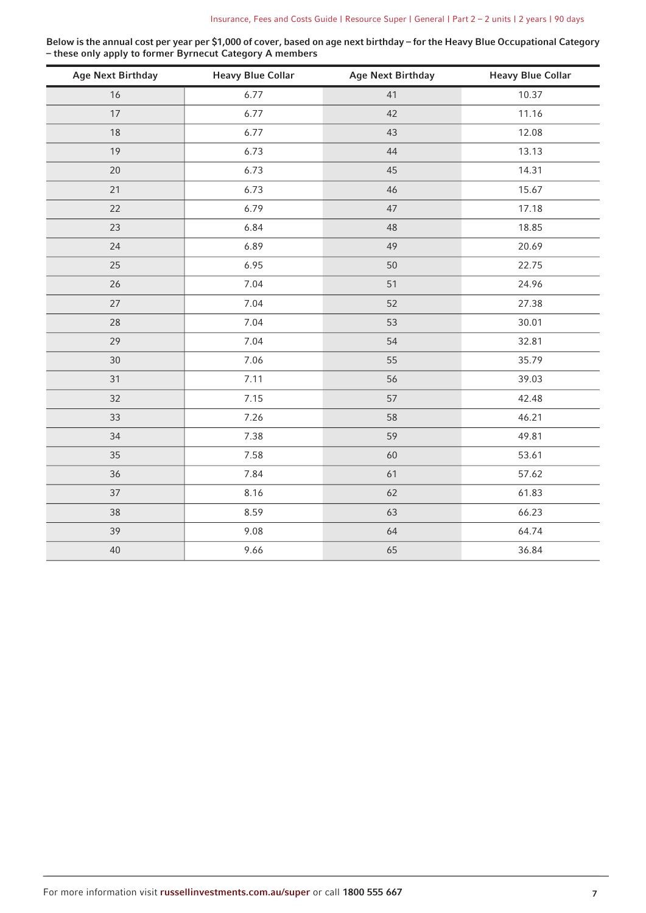**Below is the annual cost per year per \$1,000 of cover, based on age next birthday – for the Heavy Blue Occupational Category – these only apply to former Byrnecut Category A members**

| <b>Age Next Birthday</b> | <b>Heavy Blue Collar</b> | <b>Age Next Birthday</b> | <b>Heavy Blue Collar</b> |
|--------------------------|--------------------------|--------------------------|--------------------------|
| 16                       | 6.77                     | 41                       | 10.37                    |
| 17                       | 6.77                     | 42                       | 11.16                    |
| 18                       | 6.77                     | 43                       | 12.08                    |
| 19                       | 6.73                     | 44                       | 13.13                    |
| 20                       | 6.73                     | 45                       | 14.31                    |
| 21                       | 6.73                     | 46                       | 15.67                    |
| 22                       | 6.79                     | 47                       | 17.18                    |
| 23                       | 6.84                     | 48                       | 18.85                    |
| 24                       | 6.89                     | 49                       | 20.69                    |
| 25                       | 6.95                     | 50                       | 22.75                    |
| 26                       | 7.04                     | 51                       | 24.96                    |
| 27                       | 7.04                     | 52                       | 27.38                    |
| 28                       | 7.04                     | 53                       | 30.01                    |
| 29                       | 7.04                     | 54                       | 32.81                    |
| 30                       | 7.06                     | 55                       | 35.79                    |
| 31                       | 7.11                     | 56                       | 39.03                    |
| 32                       | 7.15                     | 57                       | 42.48                    |
| 33                       | 7.26                     | 58                       | 46.21                    |
| 34                       | 7.38                     | 59                       | 49.81                    |
| 35                       | 7.58                     | 60                       | 53.61                    |
| 36                       | 7.84                     | 61                       | 57.62                    |
| 37                       | 8.16                     | 62                       | 61.83                    |
| 38                       | 8.59                     | 63                       | 66.23                    |
| 39                       | 9.08                     | 64                       | 64.74                    |
| 40                       | 9.66                     | 65                       | 36.84                    |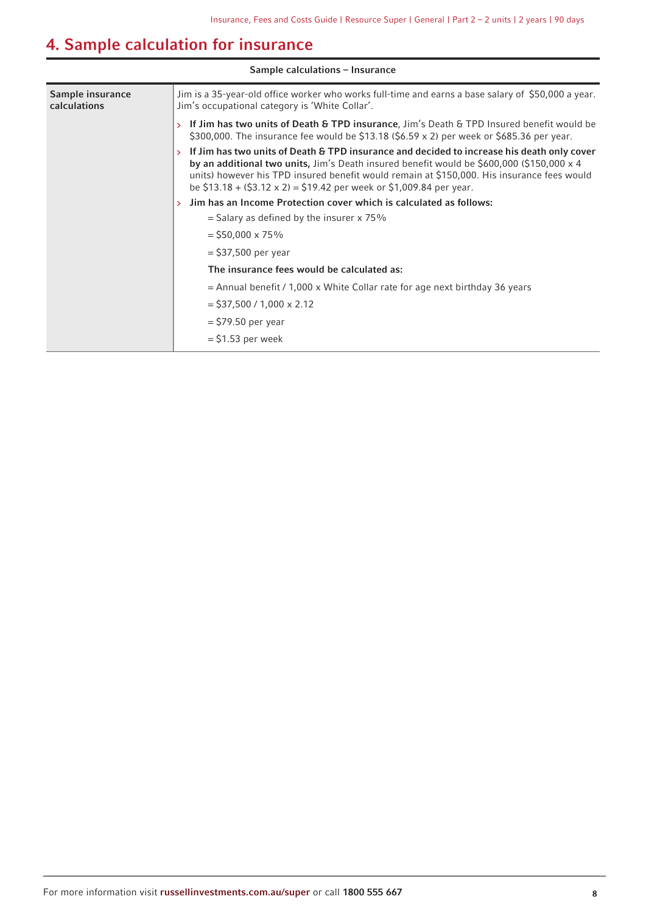# <span id="page-7-0"></span>**4. Sample calculation for insurance**

| Sample calculations - Insurance         |                                                                                                                                                                                                                                                                                                                                                                          |  |  |  |  |  |
|-----------------------------------------|--------------------------------------------------------------------------------------------------------------------------------------------------------------------------------------------------------------------------------------------------------------------------------------------------------------------------------------------------------------------------|--|--|--|--|--|
| Sample insurance<br><b>calculations</b> | Jim is a 35-year-old office worker who works full-time and earns a base salary of \$50,000 a year.<br>Jim's occupational category is 'White Collar'.                                                                                                                                                                                                                     |  |  |  |  |  |
|                                         | If Jim has two units of Death & TPD insurance, Jim's Death & TPD Insured benefit would be<br>$\rightarrow$<br>\$300,000. The insurance fee would be \$13.18 (\$6.59 x 2) per week or \$685.36 per year.                                                                                                                                                                  |  |  |  |  |  |
|                                         | If Jim has two units of Death & TPD insurance and decided to increase his death only cover<br>by an additional two units, Jim's Death insured benefit would be \$600,000 (\$150,000 $\times$ 4<br>units) however his TPD insured benefit would remain at \$150,000. His insurance fees would<br>be $$13.18 + ($3.12 \times 2) = $19.42$ per week or \$1,009.84 per year. |  |  |  |  |  |
|                                         | Jim has an Income Protection cover which is calculated as follows:<br>$\rightarrow$                                                                                                                                                                                                                                                                                      |  |  |  |  |  |
|                                         | $=$ Salary as defined by the insurer x 75%                                                                                                                                                                                                                                                                                                                               |  |  |  |  |  |
|                                         | $=$ \$50,000 x 75%                                                                                                                                                                                                                                                                                                                                                       |  |  |  |  |  |
|                                         | $=$ \$37,500 per year                                                                                                                                                                                                                                                                                                                                                    |  |  |  |  |  |
|                                         | The insurance fees would be calculated as:                                                                                                                                                                                                                                                                                                                               |  |  |  |  |  |
|                                         | $=$ Annual benefit / 1,000 x White Collar rate for age next birthday 36 years                                                                                                                                                                                                                                                                                            |  |  |  |  |  |
|                                         | $=$ \$37,500 / 1,000 $\times$ 2.12                                                                                                                                                                                                                                                                                                                                       |  |  |  |  |  |
|                                         | $=$ \$79.50 per year                                                                                                                                                                                                                                                                                                                                                     |  |  |  |  |  |
|                                         | $=$ \$1.53 per week                                                                                                                                                                                                                                                                                                                                                      |  |  |  |  |  |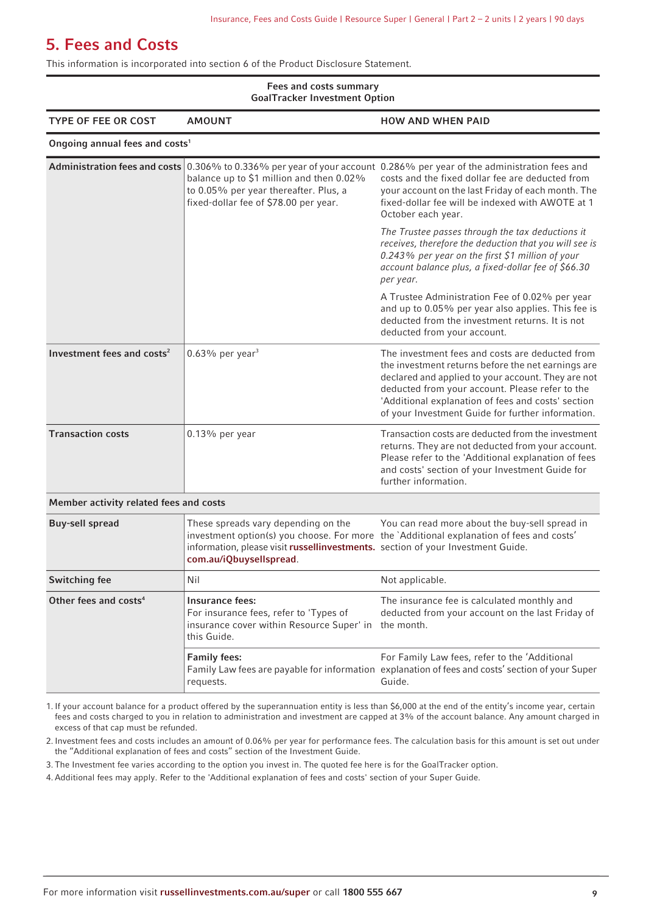### <span id="page-8-0"></span>**5. Fees and Costs**

This information is incorporated into section 6 of the Product Disclosure Statement.

#### **Fees and costs summary GoalTracker Investment Option**

| uvarrracher investinent Optivin            |                                                                                                                                                   |                                                                                                                                                                                                                                                                                                                           |  |  |  |  |
|--------------------------------------------|---------------------------------------------------------------------------------------------------------------------------------------------------|---------------------------------------------------------------------------------------------------------------------------------------------------------------------------------------------------------------------------------------------------------------------------------------------------------------------------|--|--|--|--|
| <b>TYPE OF FEE OR COST</b>                 | <b>AMOUNT</b>                                                                                                                                     | <b>HOW AND WHEN PAID</b>                                                                                                                                                                                                                                                                                                  |  |  |  |  |
| Ongoing annual fees and costs <sup>1</sup> |                                                                                                                                                   |                                                                                                                                                                                                                                                                                                                           |  |  |  |  |
|                                            | balance up to \$1 million and then 0.02%<br>to 0.05% per year thereafter. Plus, a<br>fixed-dollar fee of \$78.00 per year.                        | Administration fees and costs 0.306% to 0.336% per year of your account 0.286% per year of the administration fees and<br>costs and the fixed dollar fee are deducted from<br>your account on the last Friday of each month. The<br>fixed-dollar fee will be indexed with AWOTE at 1<br>October each year.                |  |  |  |  |
|                                            |                                                                                                                                                   | The Trustee passes through the tax deductions it<br>receives, therefore the deduction that you will see is<br>0.243% per year on the first \$1 million of your<br>account balance plus, a fixed-dollar fee of \$66.30<br>per year.                                                                                        |  |  |  |  |
|                                            |                                                                                                                                                   | A Trustee Administration Fee of 0.02% per year<br>and up to 0.05% per year also applies. This fee is<br>deducted from the investment returns. It is not<br>deducted from your account.                                                                                                                                    |  |  |  |  |
| Investment fees and costs <sup>2</sup>     | $0.63\%$ per year <sup>3</sup>                                                                                                                    | The investment fees and costs are deducted from<br>the investment returns before the net earnings are<br>declared and applied to your account. They are not<br>deducted from your account. Please refer to the<br>'Additional explanation of fees and costs' section<br>of your Investment Guide for further information. |  |  |  |  |
| <b>Transaction costs</b>                   | $0.13\%$ per year                                                                                                                                 | Transaction costs are deducted from the investment<br>returns. They are not deducted from your account.<br>Please refer to the 'Additional explanation of fees<br>and costs' section of your Investment Guide for<br>further information.                                                                                 |  |  |  |  |
| Member activity related fees and costs     |                                                                                                                                                   |                                                                                                                                                                                                                                                                                                                           |  |  |  |  |
| <b>Buy-sell spread</b>                     | These spreads vary depending on the<br>information, please visit russellinvestments. section of your Investment Guide.<br>com.au/iQbuysellspread. | You can read more about the buy-sell spread in<br>investment option(s) you choose. For more the `Additional explanation of fees and costs'                                                                                                                                                                                |  |  |  |  |
| <b>Switching fee</b>                       | Nil                                                                                                                                               | Not applicable.                                                                                                                                                                                                                                                                                                           |  |  |  |  |
| Other fees and costs <sup>4</sup>          | Insurance fees:<br>For insurance fees, refer to 'Types of<br>insurance cover within Resource Super' in the month.<br>this Guide.                  | The insurance fee is calculated monthly and<br>deducted from your account on the last Friday of                                                                                                                                                                                                                           |  |  |  |  |
|                                            | <b>Family fees:</b><br>requests.                                                                                                                  | For Family Law fees, refer to the 'Additional<br>Family Law fees are payable for information explanation of fees and costs' section of your Super<br>Guide.                                                                                                                                                               |  |  |  |  |

1. If your account balance for a product offered by the superannuation entity is less than \$6,000 at the end of the entity's income year, certain fees and costs charged to you in relation to administration and investment are capped at 3% of the account balance. Any amount charged in excess of that cap must be refunded.

2. Investment fees and costs includes an amount of 0.06% per year for performance fees. The calculation basis for this amount is set out under the "Additional explanation of fees and costs" section of the Investment Guide.

3. The Investment fee varies according to the option you invest in. The quoted fee here is for the GoalTracker option.

4.Additional fees may apply. Refer to the 'Additional explanation of fees and costs' section of your Super Guide.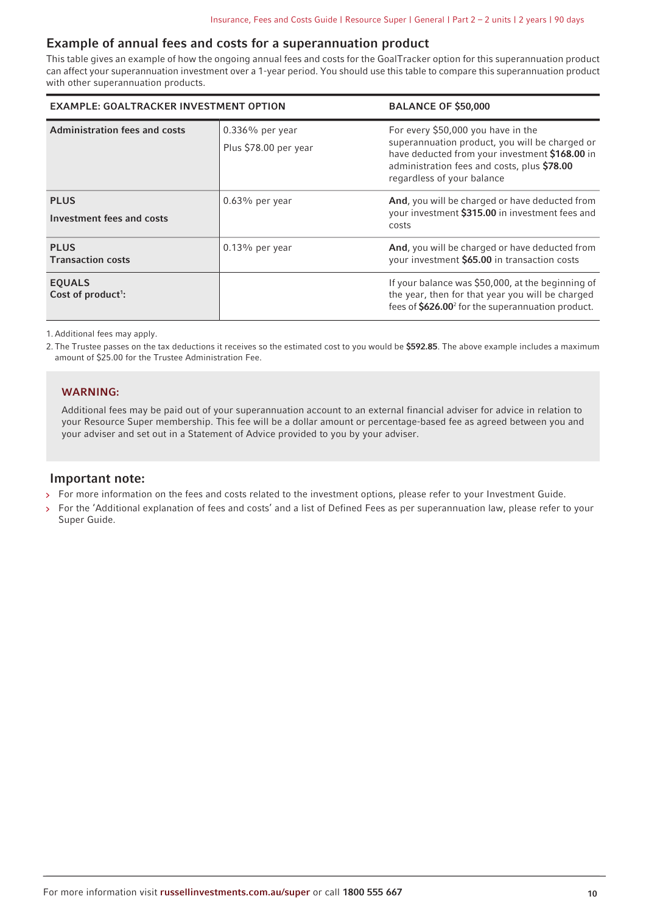### **Example of annual fees and costs for a superannuation product**

This table gives an example of how the ongoing annual fees and costs for the GoalTracker option for this superannuation product can affect your superannuation investment over a 1-year period. You should use this table to compare this superannuation product with other superannuation products.

| <b>EXAMPLE: GOALTRACKER INVESTMENT OPTION</b> |                                             | <b>BALANCE OF \$50,000</b>                                                                                                                                                                                          |
|-----------------------------------------------|---------------------------------------------|---------------------------------------------------------------------------------------------------------------------------------------------------------------------------------------------------------------------|
| <b>Administration fees and costs</b>          | $0.336\%$ per year<br>Plus \$78.00 per year | For every \$50,000 you have in the<br>superannuation product, you will be charged or<br>have deducted from your investment \$168.00 in<br>administration fees and costs, plus \$78.00<br>regardless of your balance |
| <b>PLUS</b><br>Investment fees and costs      | $0.63\%$ per year                           | And, you will be charged or have deducted from<br>your investment \$315.00 in investment fees and<br>costs                                                                                                          |
| <b>PLUS</b><br><b>Transaction costs</b>       | $0.13\%$ per year                           | And, you will be charged or have deducted from<br>your investment \$65.00 in transaction costs                                                                                                                      |
| <b>EOUALS</b><br>Cost of $product$ :          |                                             | If your balance was \$50,000, at the beginning of<br>the year, then for that year you will be charged<br>fees of \$626.00 <sup>2</sup> for the superannuation product.                                              |

1.Additional fees may apply.

2. The Trustee passes on the tax deductions it receives so the estimated cost to you would be **\$592.85**. The above example includes a maximum amount of \$25.00 for the Trustee Administration Fee.

### **WARNING:**

Additional fees may be paid out of your superannuation account to an external financial adviser for advice in relation to your Resource Super membership. This fee will be a dollar amount or percentage-based fee as agreed between you and your adviser and set out in a Statement of Advice provided to you by your adviser.

### **Important note:**

- > For more information on the fees and costs related to the investment options, please refer to your Investment Guide.
- For the 'Additional explanation of fees and costs' and a list of Defined Fees as per superannuation law, please refer to your Super Guide.